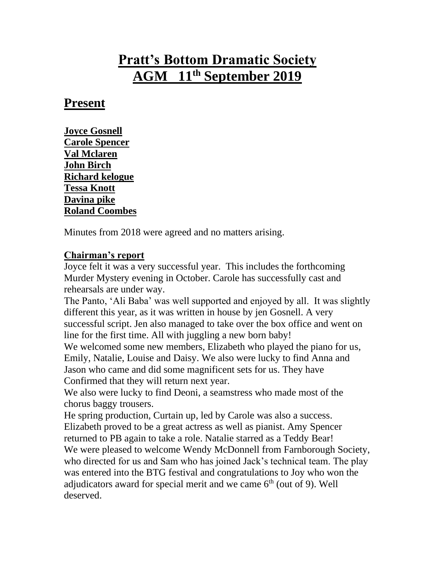# **Pratt's Bottom Dramatic Society AGM 11th September 2019**

### **Present**

**Joyce Gosnell Carole Spencer Val Mclaren John Birch Richard kelogue Tessa Knott Davina pike Roland Coombes**

Minutes from 2018 were agreed and no matters arising.

#### **Chairman's report**

Joyce felt it was a very successful year. This includes the forthcoming Murder Mystery evening in October. Carole has successfully cast and rehearsals are under way.

The Panto, 'Ali Baba' was well supported and enjoyed by all. It was slightly different this year, as it was written in house by jen Gosnell. A very successful script. Jen also managed to take over the box office and went on line for the first time. All with juggling a new born baby!

We welcomed some new members, Elizabeth who played the piano for us, Emily, Natalie, Louise and Daisy. We also were lucky to find Anna and Jason who came and did some magnificent sets for us. They have Confirmed that they will return next year.

We also were lucky to find Deoni, a seamstress who made most of the chorus baggy trousers.

He spring production, Curtain up, led by Carole was also a success. Elizabeth proved to be a great actress as well as pianist. Amy Spencer returned to PB again to take a role. Natalie starred as a Teddy Bear! We were pleased to welcome Wendy McDonnell from Farnborough Society, who directed for us and Sam who has joined Jack's technical team. The play was entered into the BTG festival and congratulations to Joy who won the adjudicators award for special merit and we came  $6<sup>th</sup>$  (out of 9). Well deserved.